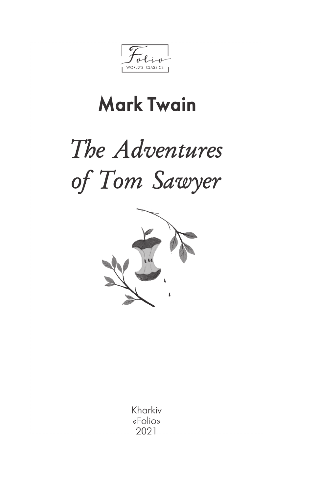WORLD'S CLASSICS

## **Mark Twain**

# The Adventures of Tom Sawyer



Kharkiv «Folio» 2021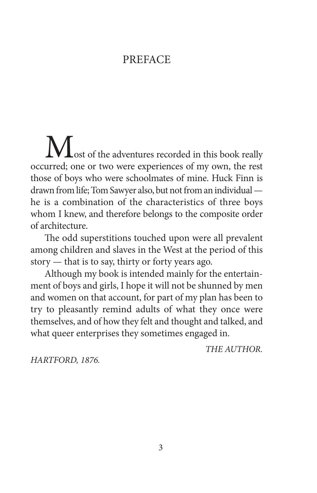#### PREFACE

Most of the adventures recorded in this book really occurred; one or two were experiences of my own, the rest those of boys who were schoolmates of mine. Huck Finn is drawn from life; Tom Sawyer also, but not from an individual he is a combination of the characteristics of three boys whom I knew, and therefore belongs to the composite order of architecture.

The odd superstitions touched upon were all prevalent among children and slaves in the West at the period of this story — that is to say, thirty or forty years ago.

Although my book is intended mainly for the entertainment of boys and girls, I hope it will not be shunned by men and women on that account, for part of my plan has been to try to pleasantly remind adults of what they once were themselves, and of how they felt and thought and talked, and what queer enterprises they sometimes engaged in.

*THE AUTHOR.*

*HARTFORD, 1876.*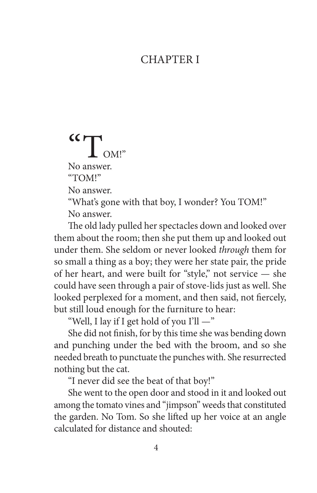#### **CHAPTER I**

### $\mathbf{C}$   $\mathbf{T}_{\text{OM}!}$ No answer. "TOM!" No answer.

"What's gone with that boy, I wonder? You TOM!" No answer.

The old lady pulled her spectacles down and looked over them about the room; then she put them up and looked out under them. She seldom or never looked *through* them for so small a thing as a boy; they were her state pair, the pride of her heart, and were built for "style," not service — she could have seen through a pair of stove-lids just as well. She looked perplexed for a moment, and then said, not fiercely, but still loud enough for the furniture to hear:

"Well, I lay if I get hold of you I'll —"

She did not finish, for by this time she was bending down and punching under the bed with the broom, and so she needed breath to punctuate the punches with. She resurrected nothing but the cat.

"I never did see the beat of that boy!"

She went to the open door and stood in it and looked out among the tomato vines and "jimpson" weeds that constituted the garden. No Tom. So she lifted up her voice at an angle calculated for distance and shouted: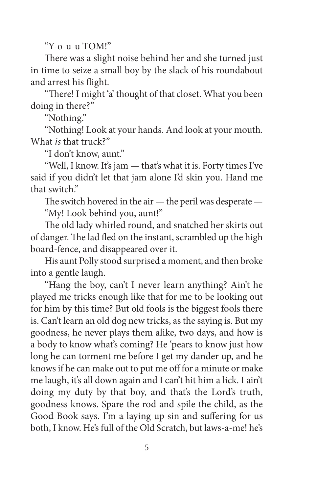"Y-o-u-u TOM!"

There was a slight noise behind her and she turned just in time to seize a small boy by the slack of his roundabout and arrest his flight.

"There! I might 'a' thought of that closet. What you been doing in there?"

"Nothing."

"Nothing! Look at your hands. And look at your mouth. What *is* that truck?"

"I don't know, aunt."

"Well, I know. It's jam — that's what it is. Forty times I've said if you didn't let that jam alone I'd skin you. Hand me that switch."

The switch hovered in the air — the peril was desperate — "My! Look behind you, aunt!"

The old lady whirled round, and snatched her skirts out of danger. The lad fled on the instant, scrambled up the high board-fence, and disappeared over it.

His aunt Polly stood surprised a moment, and then broke into a gentle laugh.

"Hang the boy, can't I never learn anything? Ain't he played me tricks enough like that for me to be looking out for him by this time? But old fools is the biggest fools there is. Can't learn an old dog new tricks, as the saying is. But my goodness, he never plays them alike, two days, and how is a body to know what's coming? He 'pears to know just how long he can torment me before I get my dander up, and he knows if he can make out to put me off for a minute or make me laugh, it's all down again and I can't hit him a lick. I ain't doing my duty by that boy, and that's the Lord's truth, goodness knows. Spare the rod and spile the child, as the Good Book says. I'm a laying up sin and suffering for us both, I know. He's full of the Old Scratch, but laws-a-me! he's